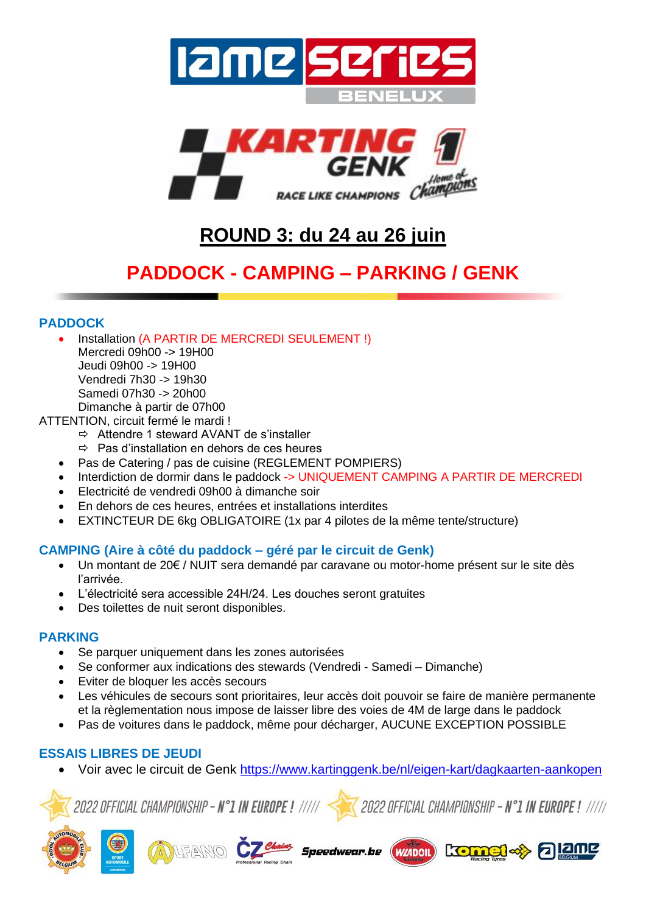



# **ROUND 3: du 24 au 26 juin**

# **PADDOCK - CAMPING – PARKING / GENK**

### **PADDOCK**

- Installation (A PARTIR DE MERCREDI SEULEMENT !) Mercredi 09h00 -> 19H00 Jeudi 09h00 -> 19H00 Vendredi 7h30 -> 19h30 Samedi 07h30 -> 20h00 Dimanche à partir de 07h00
- ATTENTION, circuit fermé le mardi !
	- Attendre 1 steward AVANT de s'installer
	- $\Rightarrow$  Pas d'installation en dehors de ces heures
	- Pas de Catering / pas de cuisine (REGLEMENT POMPIERS)
	- Interdiction de dormir dans le paddock -> UNIQUEMENT CAMPING A PARTIR DE MERCREDI
	- Electricité de vendredi 09h00 à dimanche soir
	- En dehors de ces heures, entrées et installations interdites
	- EXTINCTEUR DE 6kg OBLIGATOIRE (1x par 4 pilotes de la même tente/structure)

## **CAMPING (Aire à côté du paddock – géré par le circuit de Genk)**

- Un montant de 20€ / NUIT sera demandé par caravane ou motor-home présent sur le site dès l'arrivée.
- L'électricité sera accessible 24H/24. Les douches seront gratuites
- Des toilettes de nuit seront disponibles.

## **PARKING**

- Se parquer uniquement dans les zones autorisées
- Se conformer aux indications des stewards (Vendredi Samedi Dimanche)
- Eviter de bloquer les accès secours
- Les véhicules de secours sont prioritaires, leur accès doit pouvoir se faire de manière permanente et la règlementation nous impose de laisser libre des voies de 4M de large dans le paddock
- Pas de voitures dans le paddock, même pour décharger, AUCUNE EXCEPTION POSSIBLE

## **ESSAIS LIBRES DE JEUDI**

• Voir avec le circuit de Genk <https://www.kartinggenk.be/nl/eigen-kart/dagkaarten-aankopen>



2022 OFFICIAL CHAMPIONSHIP - N°1 IN EUROPE ! /////





2022 OFFICIAL CHAMPIONSHIP - N°1 IN EUROPE ! /////